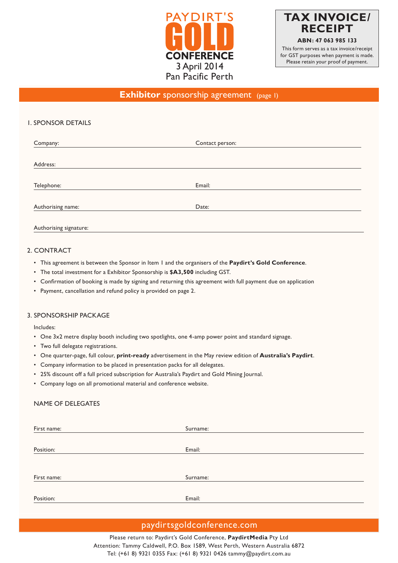



## **Exhibitor** sponsorship agreement (page 1)

### 1. SPONSOR DETAILS

| Company:          | Contact person: |  |
|-------------------|-----------------|--|
|                   |                 |  |
| Address:          |                 |  |
| Telephone:        | Email:          |  |
| Authorising name: | Date:           |  |
|                   |                 |  |

### 2. CONTRACT

Authorising signature:

- This agreement is between the Sponsor in Item 1 and the organisers of the **Paydirt's Gold Conference**.
- The total investment for a Exhibitor Sponsorship is **\$A3,500** including GST.
- Confirmation of booking is made by signing and returning this agreement with full payment due on application
- Payment, cancellation and refund policy is provided on page 2.

#### 3. SPONSORSHIP PACKAGE

Includes:

- One 3x2 metre display booth including two spotlights, one 4-amp power point and standard signage.
- Two full delegate registrations.
- One quarter-page, full colour, **print-ready** advertisement in the May review edition of **Australia's Paydirt**.
- Company information to be placed in presentation packs for all delegates.
- 25% discount off a full priced subscription for Australia's Paydirt and Gold Mining Journal.
- Company logo on all promotional material and conference website.

#### NAME OF DELEGATES

| First name: | Surname: |
|-------------|----------|
|             |          |
| Position:   | Email:   |
|             |          |
|             |          |
| First name: | Surname: |
|             |          |
| Position:   | Email:   |

## paydirtsgoldconference.com

Please return to: Paydirt's Gold Conference, **PaydirtMedia** Pty Ltd Attention: Tammy Caldwell, P.O. Box 1589, West Perth, Western Australia 6872 Tel: (+61 8) 9321 0355 Fax: (+61 8) 9321 0426 tammy@paydirt.com.au